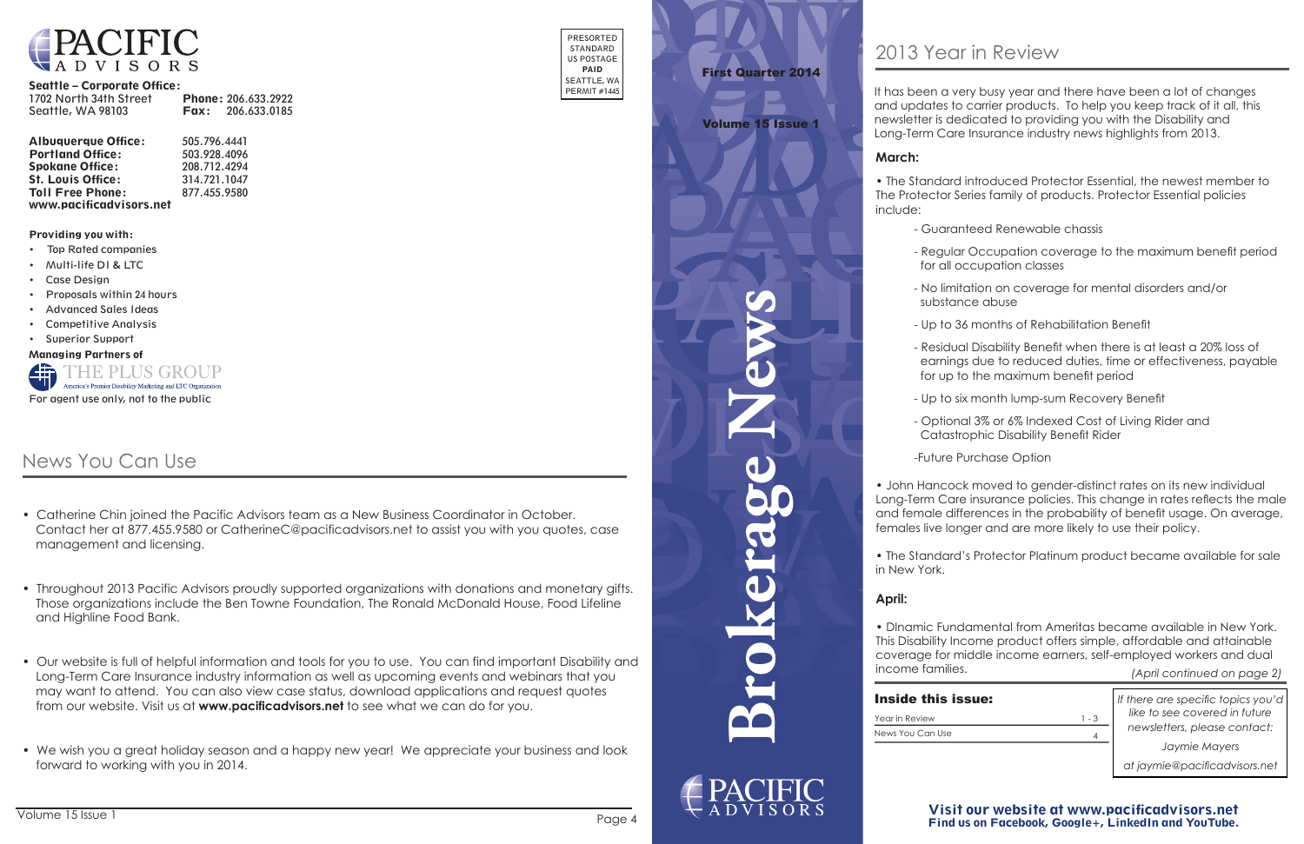**Brokerage News**



Visit our website at www.pacificadvisors.net Find us on Facebook, Google+, LinkedIn and YouTube.



#### Seattle – Corporate Office:

| 1702 North 34th Street |      | <b>Phone: 206.633.2922</b> |
|------------------------|------|----------------------------|
| Seattle, WA 98103      | Fax: | 206.633.0185               |

| <b>Albuquerque Office:</b> | 505.796.4441 |
|----------------------------|--------------|
| <b>Portland Office:</b>    | 503.928.4096 |
| <b>Spokane Office:</b>     | 208.712.4294 |
| <b>St. Louis Office:</b>   | 314.721.1047 |
| <b>Toll Free Phone:</b>    | 877.455.9580 |
| www.pacificadvisors.net    |              |

PRESORTED STANDARD US POSTAGE PAID SEATTLE, WA PERMIT #1445

Providing you with:

- Top Rated companies
- Multi-life DI & LTC
- Case Design
- Proposals within 24 hours
- Advanced Sales Ideas
- Competitive Analysis
- Superior Support

Managing Partners of



*If there are specific topics you'd like to see covered in future newsletters, please contact:*

*Jaymie Mayers*

*at jaymie@pacificadvisors.net*

Year in Review News You Can Use

# First Quarter 2014

Volume 15 Issue 1

*(April continued on page 2)*

| ssue: |         |
|-------|---------|
|       | $1 - 3$ |
|       |         |

#### **March:**

• The Standard introduced Protector Essential, the newest member to The Protector Series family of products. Protector Essential policies

include:

- Guaranteed Renewable chassis

- 
- Regular Occupation coverage to the maximum benefit period for all occupation classes
- No limitation on coverage for mental disorders and/or substance abuse
- Up to 36 months of Rehabilitation Benefit
- Residual Disability Benefit when there is at least a 20% loss of earnings due to reduced duties, time or effectiveness, payable for up to the maximum benefit period
- Up to six month lump-sum Recovery Benefit
- Optional 3% or 6% Indexed Cost of Living Rider and Catastrophic Disability Benefit Rider

-Future Purchase Option

- Catherine Chin joined the Pacific Advisors team as a New Business Coordinator in October. Contact her at 877.455.9580 or CatherineC@pacificadvisors.net to assist you with you quotes, case management and licensing.
- Throughout 2013 Pacific Advisors proudly supported organizations with donations and monetary gifts. Those organizations include the Ben Towne Foundation, The Ronald McDonald House, Food Lifeline and Highline Food Bank.
- Our website is full of helpful information and tools for you to use. You can find important Disability and Long-Term Care Insurance industry information as well as upcoming events and webinars that you may want to attend. You can also view case status, download applications and request quotes from our website. Visit us at **www.pacificadvisors.net** to see what we can do for you.
- We wish you a great holiday season and a happy new year! We appreciate your business and look forward to working with you in 2014.

• John Hancock moved to gender-distinct rates on its new individual Long-Term Care insurance policies. This change in rates reflects the male and female differences in the probability of benefit usage. On average, females live longer and are more likely to use their policy.

• The Standard's Protector Platinum product became available for sale in New York.

#### **April:**

• DInamic Fundamental from Ameritas became available in New York. This Disability Income product offers simple, affordable and attainable coverage for middle income earners, self-employed workers and dual

income families.

#### **Inside this is**

It has been a very busy year and there have been a lot of changes and updates to carrier products. To help you keep track of it all, this newsletter is dedicated to providing you with the Disability and Long-Term Care Insurance industry news highlights from 2013.

# News You Can Use